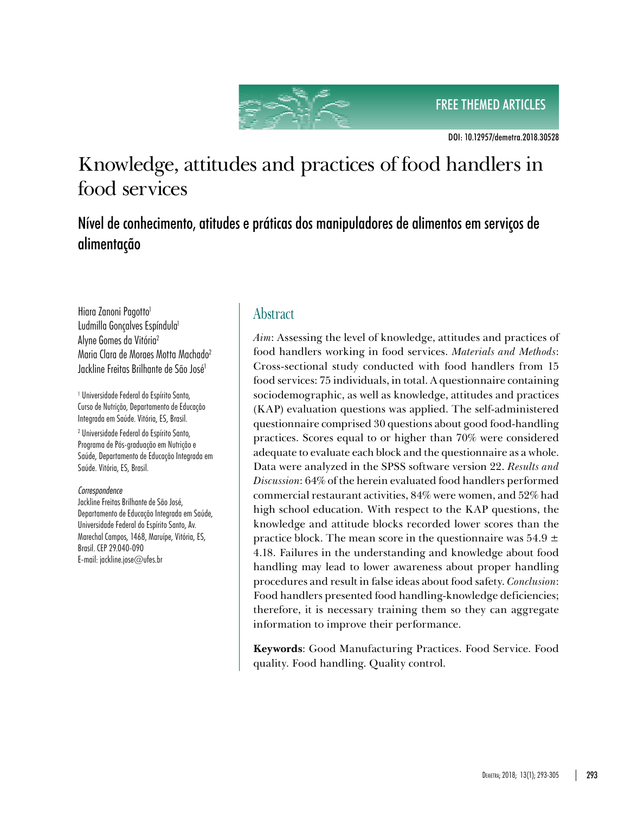FREE THEMED ARTICLES



DOI: 10.12957/demetra.2018.30528

# Knowledge, attitudes and practices of food handlers in food services

Nível de conhecimento, atitudes e práticas dos manipuladores de alimentos em serviços de alimentação

Hiara Zanoni Pagotto<sup>1</sup> Ludmilla Gonçalves Espíndula<sup>1</sup> Alyne Gomes da Vitória2 Maria Clara de Moraes Motta Machado2 Jackline Freitas Brilhante de São José1

1 Universidade Federal do Espírito Santo, Curso de Nutrição, Departamento de Educação Integrada em Saúde. Vitória, ES, Brasil.

2 Universidade Federal do Espírito Santo, Programa de Pós-graduação em Nutrição e Saúde, Departamento de Educação Integrada em Saúde. Vitória, ES, Brasil.

#### *Correspondence*

Jackline Freitas Brilhante de São José, Departamento de Educação Integrada em Saúde, Universidade Federal do Espírito Santo, Av. Marechal Campos, 1468, Maruípe, Vitória, ES, Brasil. CEP 29.040-090 E-mail: jackline.jose@ufes.br

# **Abstract**

*Aim*: Assessing the level of knowledge, attitudes and practices of food handlers working in food services. *Materials and Methods*: Cross-sectional study conducted with food handlers from 15 food services: 75 individuals, in total. A questionnaire containing sociodemographic, as well as knowledge, attitudes and practices (KAP) evaluation questions was applied. The self-administered questionnaire comprised 30 questions about good food-handling practices. Scores equal to or higher than 70% were considered adequate to evaluate each block and the questionnaire as a whole. Data were analyzed in the SPSS software version 22. *Results and Discussion*: 64% of the herein evaluated food handlers performed commercial restaurant activities, 84% were women, and 52% had high school education. With respect to the KAP questions, the knowledge and attitude blocks recorded lower scores than the practice block. The mean score in the questionnaire was  $54.9 \pm$ 4.18. Failures in the understanding and knowledge about food handling may lead to lower awareness about proper handling procedures and result in false ideas about food safety. *Conclusion*: Food handlers presented food handling-knowledge deficiencies; therefore, it is necessary training them so they can aggregate information to improve their performance.

**Keywords**: Good Manufacturing Practices. Food Service. Food quality. Food handling. Quality control.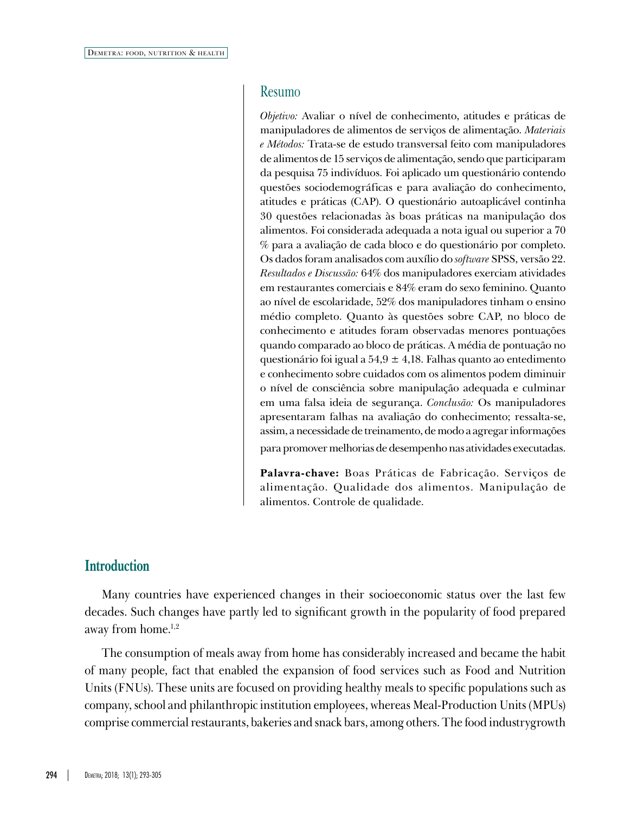#### Resumo

*Objetivo:* Avaliar o nível de conhecimento, atitudes e práticas de manipuladores de alimentos de serviços de alimentação. *Materiais e Métodos:* Trata-se de estudo transversal feito com manipuladores de alimentos de 15 serviços de alimentação, sendo que participaram da pesquisa 75 indivíduos. Foi aplicado um questionário contendo questões sociodemográficas e para avaliação do conhecimento, atitudes e práticas (CAP). O questionário autoaplicável continha 30 questões relacionadas às boas práticas na manipulação dos alimentos. Foi considerada adequada a nota igual ou superior a 70 % para a avaliação de cada bloco e do questionário por completo. Os dados foram analisados com auxílio do *software* SPSS, versão 22. *Resultados e Discussão:* 64% dos manipuladores exerciam atividades em restaurantes comerciais e 84% eram do sexo feminino. Quanto ao nível de escolaridade, 52% dos manipuladores tinham o ensino médio completo. Quanto às questões sobre CAP, no bloco de conhecimento e atitudes foram observadas menores pontuações quando comparado ao bloco de práticas. A média de pontuação no questionário foi igual a  $54.9 \pm 4.18$ . Falhas quanto ao entedimento e conhecimento sobre cuidados com os alimentos podem diminuir o nível de consciência sobre manipulação adequada e culminar em uma falsa ideia de segurança. *Conclusão:* Os manipuladores apresentaram falhas na avaliação do conhecimento; ressalta-se, assim, a necessidade de treinamento, de modo a agregar informações para promover melhorias de desempenho nas atividades executadas.

**Palavra-chave:** Boas Práticas de Fabricação. Serviços de alimentação. Qualidade dos alimentos. Manipulação de

#### **Introduction**

Many countries have experienced changes in their socioeconomic status over the last few decades. Such changes have partly led to significant growth in the popularity of food prepared away from home.<sup>1,2</sup>

alimentos. Controle de qualidade.

The consumption of meals away from home has considerably increased and became the habit of many people, fact that enabled the expansion of food services such as Food and Nutrition Units (FNUs). These units are focused on providing healthy meals to specific populations such as company, school and philanthropic institution employees, whereas Meal-Production Units (MPUs) comprise commercial restaurants, bakeries and snack bars, among others. The food industrygrowth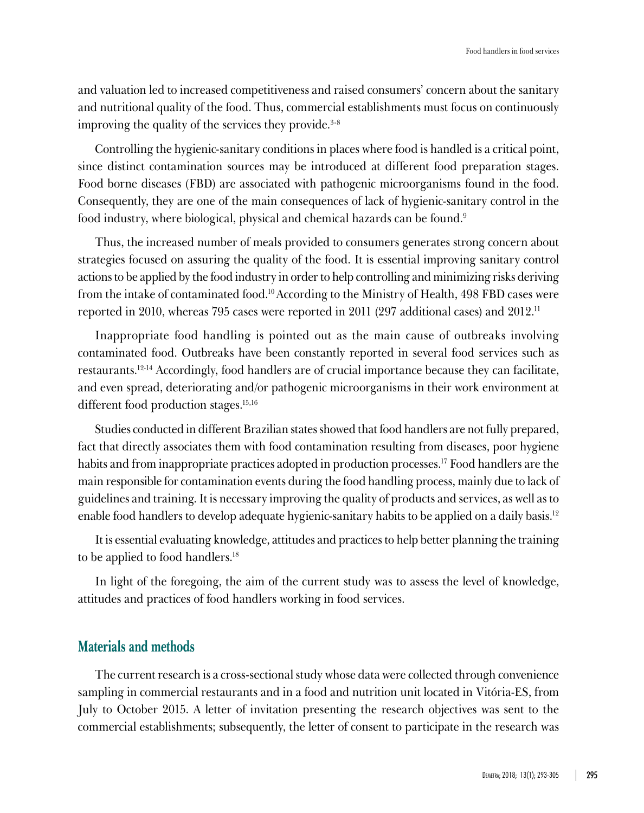and valuation led to increased competitiveness and raised consumers' concern about the sanitary and nutritional quality of the food. Thus, commercial establishments must focus on continuously improving the quality of the services they provide.<sup>3-8</sup>

Controlling the hygienic-sanitary conditions in places where food is handled is a critical point, since distinct contamination sources may be introduced at different food preparation stages. Food borne diseases (FBD) are associated with pathogenic microorganisms found in the food. Consequently, they are one of the main consequences of lack of hygienic-sanitary control in the food industry, where biological, physical and chemical hazards can be found.<sup>9</sup>

Thus, the increased number of meals provided to consumers generates strong concern about strategies focused on assuring the quality of the food. It is essential improving sanitary control actions to be applied by the food industry in order to help controlling and minimizing risks deriving from the intake of contaminated food.10 According to the Ministry of Health, 498 FBD cases were reported in 2010, whereas 795 cases were reported in 2011 (297 additional cases) and 2012.11

Inappropriate food handling is pointed out as the main cause of outbreaks involving contaminated food. Outbreaks have been constantly reported in several food services such as restaurants.12-14 Accordingly, food handlers are of crucial importance because they can facilitate, and even spread, deteriorating and/or pathogenic microorganisms in their work environment at different food production stages.15,16

Studies conducted in different Brazilian states showed that food handlers are not fully prepared, fact that directly associates them with food contamination resulting from diseases, poor hygiene habits and from inappropriate practices adopted in production processes.<sup>17</sup> Food handlers are the main responsible for contamination events during the food handling process, mainly due to lack of guidelines and training. It is necessary improving the quality of products and services, as well as to enable food handlers to develop adequate hygienic-sanitary habits to be applied on a daily basis.12

It is essential evaluating knowledge, attitudes and practices to help better planning the training to be applied to food handlers.18

In light of the foregoing, the aim of the current study was to assess the level of knowledge, attitudes and practices of food handlers working in food services.

## **Materials and methods**

The current research is a cross-sectional study whose data were collected through convenience sampling in commercial restaurants and in a food and nutrition unit located in Vitória-ES, from July to October 2015. A letter of invitation presenting the research objectives was sent to the commercial establishments; subsequently, the letter of consent to participate in the research was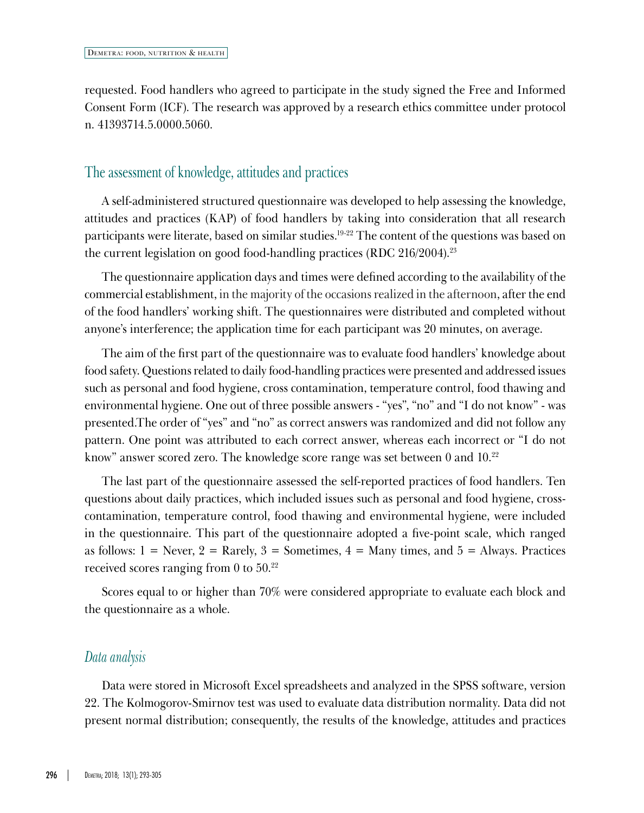requested. Food handlers who agreed to participate in the study signed the Free and Informed Consent Form (ICF). The research was approved by a research ethics committee under protocol n. 41393714.5.0000.5060.

#### The assessment of knowledge, attitudes and practices

A self-administered structured questionnaire was developed to help assessing the knowledge, attitudes and practices (KAP) of food handlers by taking into consideration that all research participants were literate, based on similar studies.19-22 The content of the questions was based on the current legislation on good food-handling practices (RDC 216/2004).23

The questionnaire application days and times were defined according to the availability of the commercial establishment, in the majority of the occasions realized in the afternoon, after the end of the food handlers' working shift. The questionnaires were distributed and completed without anyone's interference; the application time for each participant was 20 minutes, on average.

The aim of the first part of the questionnaire was to evaluate food handlers' knowledge about food safety. Questions related to daily food-handling practices were presented and addressed issues such as personal and food hygiene, cross contamination, temperature control, food thawing and environmental hygiene. One out of three possible answers - "yes", "no" and "I do not know" - was presented.The order of "yes" and "no" as correct answers was randomized and did not follow any pattern. One point was attributed to each correct answer, whereas each incorrect or "I do not know" answer scored zero. The knowledge score range was set between 0 and 10.22

The last part of the questionnaire assessed the self-reported practices of food handlers. Ten questions about daily practices, which included issues such as personal and food hygiene, crosscontamination, temperature control, food thawing and environmental hygiene, were included in the questionnaire. This part of the questionnaire adopted a five-point scale, which ranged as follows:  $1 =$  Never,  $2 =$  Rarely,  $3 =$  Sometimes,  $4 =$  Many times, and  $5 =$  Always. Practices received scores ranging from 0 to 50.22

Scores equal to or higher than 70% were considered appropriate to evaluate each block and the questionnaire as a whole.

#### *Data analysis*

Data were stored in Microsoft Excel spreadsheets and analyzed in the SPSS software, version 22. The Kolmogorov-Smirnov test was used to evaluate data distribution normality. Data did not present normal distribution; consequently, the results of the knowledge, attitudes and practices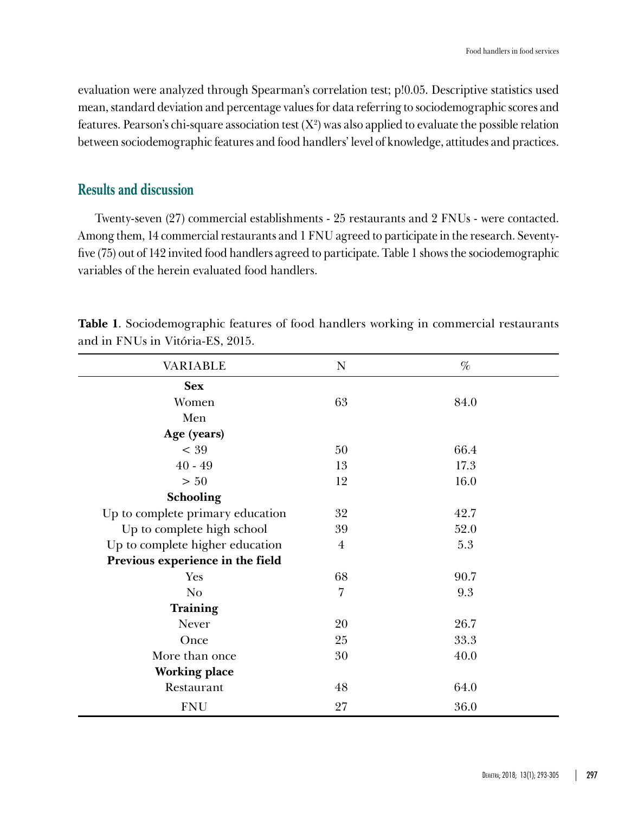evaluation were analyzed through Spearman's correlation test; p!0.05. Descriptive statistics used mean, standard deviation and percentage values for data referring to sociodemographic scores and features. Pearson's chi-square association test  $(X^2)$  was also applied to evaluate the possible relation between sociodemographic features and food handlers' level of knowledge, attitudes and practices.

### **Results and discussion**

Twenty-seven (27) commercial establishments - 25 restaurants and 2 FNUs - were contacted. Among them, 14 commercial restaurants and 1 FNU agreed to participate in the research. Seventyfive (75) out of 142 invited food handlers agreed to participate. Table 1 shows the sociodemographic variables of the herein evaluated food handlers.

| VARIABLE                         | N              | $\%$ |
|----------------------------------|----------------|------|
| <b>Sex</b>                       |                |      |
| Women                            | 63             | 84.0 |
| Men                              |                |      |
| Age (years)                      |                |      |
| $<$ 39                           | 50             | 66.4 |
| $40 - 49$                        | 13             | 17.3 |
| > 50                             | 12             | 16.0 |
| Schooling                        |                |      |
| Up to complete primary education | 32             | 42.7 |
| Up to complete high school       | 39             | 52.0 |
| Up to complete higher education  | $\overline{4}$ | 5.3  |
| Previous experience in the field |                |      |
| Yes                              | 68             | 90.7 |
| N <sub>o</sub>                   | $\overline{7}$ | 9.3  |
| Training                         |                |      |
| Never                            | 20             | 26.7 |
| Once                             | 25             | 33.3 |
| More than once                   | 30             | 40.0 |
| <b>Working place</b>             |                |      |
| Restaurant                       | 48             | 64.0 |
| <b>FNU</b>                       | 27             | 36.0 |

**Table 1**. Sociodemographic features of food handlers working in commercial restaurants and in FNUs in Vitória-ES, 2015.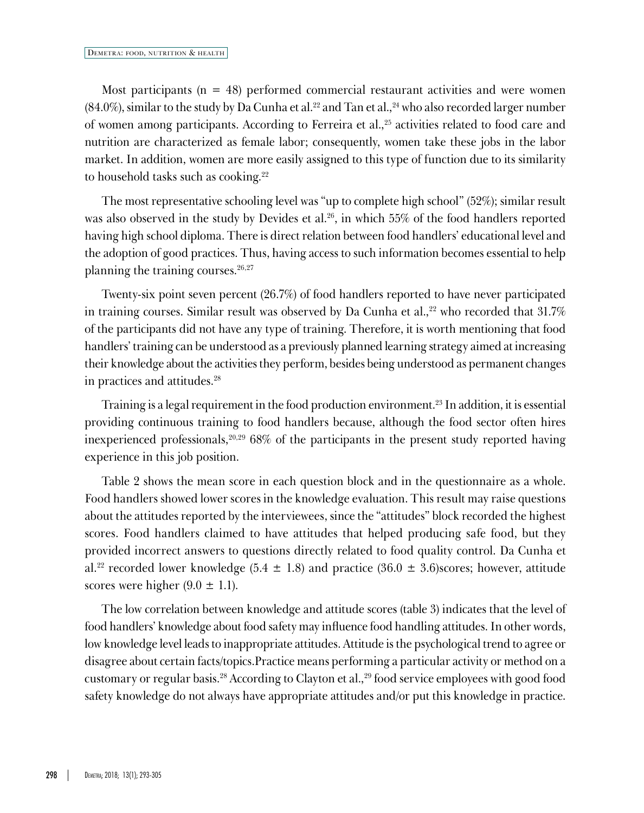Most participants ( $n = 48$ ) performed commercial restaurant activities and were women  $(84.0\%)$ , similar to the study by Da Cunha et al.<sup>22</sup> and Tan et al., <sup>24</sup> who also recorded larger number of women among participants. According to Ferreira et al.,<sup>25</sup> activities related to food care and nutrition are characterized as female labor; consequently, women take these jobs in the labor market. In addition, women are more easily assigned to this type of function due to its similarity to household tasks such as cooking.<sup>22</sup>

The most representative schooling level was "up to complete high school" (52%); similar result was also observed in the study by Devides et al.<sup>26</sup>, in which 55% of the food handlers reported having high school diploma. There is direct relation between food handlers' educational level and the adoption of good practices. Thus, having access to such information becomes essential to help planning the training courses.<sup>26,27</sup>

Twenty-six point seven percent (26.7%) of food handlers reported to have never participated in training courses. Similar result was observed by Da Cunha et al.,<sup>22</sup> who recorded that  $31.7\%$ of the participants did not have any type of training. Therefore, it is worth mentioning that food handlers' training can be understood as a previously planned learning strategy aimed at increasing their knowledge about the activities they perform, besides being understood as permanent changes in practices and attitudes.28

Training is a legal requirement in the food production environment.23 In addition, it is essential providing continuous training to food handlers because, although the food sector often hires inexperienced professionals,<sup>20,29</sup> 68% of the participants in the present study reported having experience in this job position.

Table 2 shows the mean score in each question block and in the questionnaire as a whole. Food handlers showed lower scores in the knowledge evaluation. This result may raise questions about the attitudes reported by the interviewees, since the "attitudes" block recorded the highest scores. Food handlers claimed to have attitudes that helped producing safe food, but they provided incorrect answers to questions directly related to food quality control. Da Cunha et al.<sup>22</sup> recorded lower knowledge (5.4  $\pm$  1.8) and practice (36.0  $\pm$  3.6)scores; however, attitude scores were higher  $(9.0 \pm 1.1)$ .

The low correlation between knowledge and attitude scores (table 3) indicates that the level of food handlers' knowledge about food safety may influence food handling attitudes. In other words, low knowledge level leads to inappropriate attitudes. Attitude is the psychological trend to agree or disagree about certain facts/topics.Practice means performing a particular activity or method on a customary or regular basis.28 According to Clayton et al.,29 food service employees with good food safety knowledge do not always have appropriate attitudes and/or put this knowledge in practice.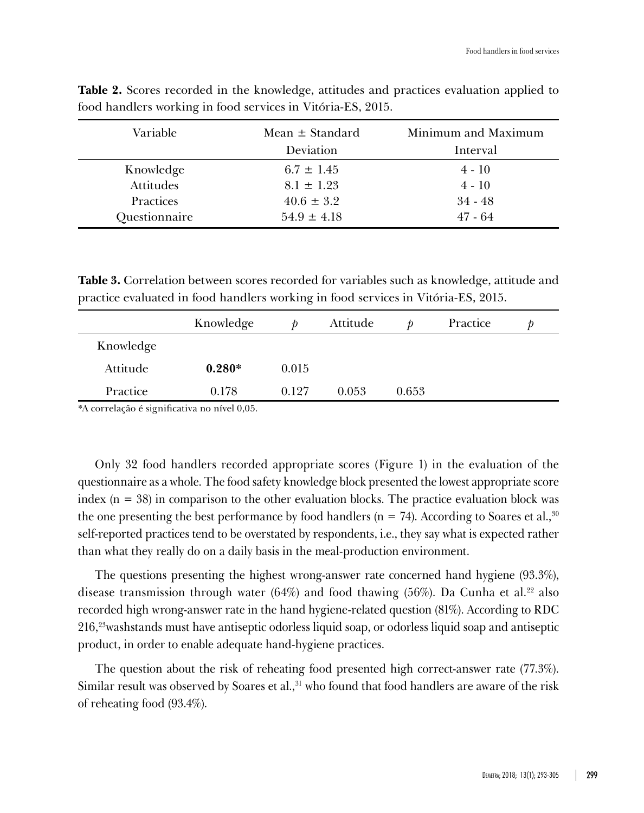| Variable         | Mean $\pm$ Standard | Minimum and Maximum |  |  |
|------------------|---------------------|---------------------|--|--|
|                  | Deviation           | Interval            |  |  |
| Knowledge        | $6.7 \pm 1.45$      | $4 - 10$            |  |  |
| <b>Attitudes</b> | $8.1 \pm 1.23$      | $4 - 10$            |  |  |
| Practices        | $40.6 \pm 3.2$      | $34 - 48$           |  |  |
| Questionnaire    | $54.9 \pm 4.18$     | $47 - 64$           |  |  |

**Table 2.** Scores recorded in the knowledge, attitudes and practices evaluation applied to food handlers working in food services in Vitória-ES, 2015.

**Table 3.** Correlation between scores recorded for variables such as knowledge, attitude and practice evaluated in food handlers working in food services in Vitória-ES, 2015.

|           | Knowledge |       | Attitude |       | Practice |  |
|-----------|-----------|-------|----------|-------|----------|--|
| Knowledge |           |       |          |       |          |  |
| Attitude  | $0.280*$  | 0.015 |          |       |          |  |
| Practice  | 0.178     | 0.127 | 0.053    | 0.653 |          |  |

\*A correlação é significativa no nível 0,05.

Only 32 food handlers recorded appropriate scores (Figure 1) in the evaluation of the questionnaire as a whole. The food safety knowledge block presented the lowest appropriate score index  $(n = 38)$  in comparison to the other evaluation blocks. The practice evaluation block was the one presenting the best performance by food handlers ( $n = 74$ ). According to Soares et al.,<sup>30</sup> self-reported practices tend to be overstated by respondents, i.e., they say what is expected rather than what they really do on a daily basis in the meal-production environment.

The questions presenting the highest wrong-answer rate concerned hand hygiene (93.3%), disease transmission through water  $(64%)$  and food thawing  $(56%)$ . Da Cunha et al.<sup>22</sup> also recorded high wrong-answer rate in the hand hygiene-related question (81%). According to RDC 216,23washstands must have antiseptic odorless liquid soap, or odorless liquid soap and antiseptic product, in order to enable adequate hand-hygiene practices.

The question about the risk of reheating food presented high correct-answer rate (77.3%). Similar result was observed by Soares et al., $31$  who found that food handlers are aware of the risk of reheating food (93.4%).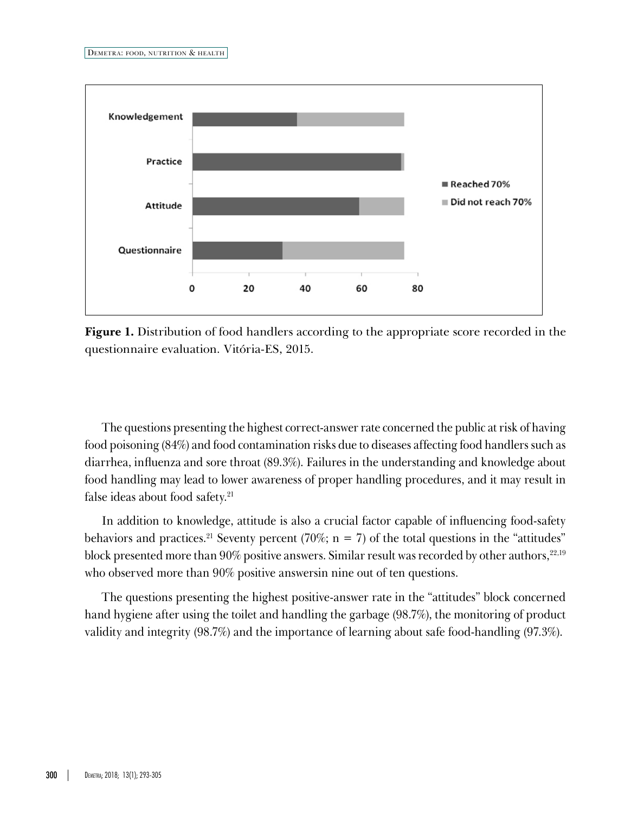

**Figure 1.** Distribution of food handlers according to the appropriate score recorded in the questionnaire evaluation. Vitória-ES, 2015.

The questions presenting the highest correct-answer rate concerned the public at risk of having food poisoning (84%) and food contamination risks due to diseases affecting food handlers such as diarrhea, influenza and sore throat (89.3%). Failures in the understanding and knowledge about food handling may lead to lower awareness of proper handling procedures, and it may result in false ideas about food safety.21

In addition to knowledge, attitude is also a crucial factor capable of influencing food-safety behaviors and practices.<sup>21</sup> Seventy percent (70%;  $n = 7$ ) of the total questions in the "attitudes" block presented more than 90% positive answers. Similar result was recorded by other authors, $22,19$ who observed more than 90% positive answersin nine out of ten questions.

The questions presenting the highest positive-answer rate in the "attitudes" block concerned hand hygiene after using the toilet and handling the garbage (98.7%), the monitoring of product validity and integrity (98.7%) and the importance of learning about safe food-handling (97.3%).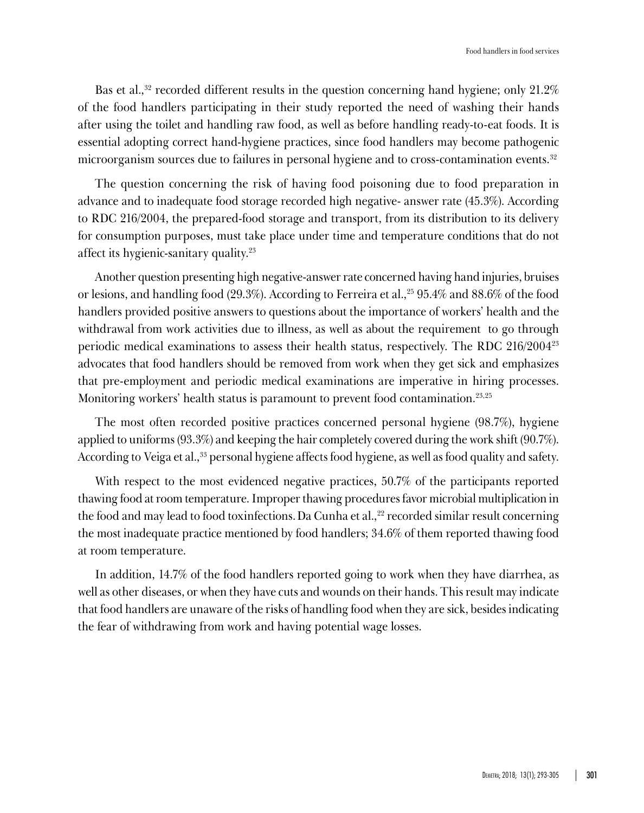Bas et al.,<sup>32</sup> recorded different results in the question concerning hand hygiene; only  $21.2\%$ of the food handlers participating in their study reported the need of washing their hands after using the toilet and handling raw food, as well as before handling ready-to-eat foods. It is essential adopting correct hand-hygiene practices, since food handlers may become pathogenic microorganism sources due to failures in personal hygiene and to cross-contamination events.<sup>32</sup>

The question concerning the risk of having food poisoning due to food preparation in advance and to inadequate food storage recorded high negative- answer rate (45.3%). According to RDC 216/2004, the prepared-food storage and transport, from its distribution to its delivery for consumption purposes, must take place under time and temperature conditions that do not affect its hygienic-sanitary quality.23

Another question presenting high negative-answer rate concerned having hand injuries, bruises or lesions, and handling food (29.3%). According to Ferreira et al.,25 95.4% and 88.6% of the food handlers provided positive answers to questions about the importance of workers' health and the withdrawal from work activities due to illness, as well as about the requirement to go through periodic medical examinations to assess their health status, respectively. The RDC 216/200423 advocates that food handlers should be removed from work when they get sick and emphasizes that pre-employment and periodic medical examinations are imperative in hiring processes. Monitoring workers' health status is paramount to prevent food contamination.<sup>23,25</sup>

The most often recorded positive practices concerned personal hygiene (98.7%), hygiene applied to uniforms (93.3%) and keeping the hair completely covered during the work shift (90.7%). According to Veiga et al.,<sup>33</sup> personal hygiene affects food hygiene, as well as food quality and safety.

With respect to the most evidenced negative practices, 50.7% of the participants reported thawing food at room temperature. Improper thawing procedures favor microbial multiplication in the food and may lead to food toxinfections. Da Cunha et al.,<sup>22</sup> recorded similar result concerning the most inadequate practice mentioned by food handlers; 34.6% of them reported thawing food at room temperature.

In addition, 14.7% of the food handlers reported going to work when they have diarrhea, as well as other diseases, or when they have cuts and wounds on their hands. This result may indicate that food handlers are unaware of the risks of handling food when they are sick, besides indicating the fear of withdrawing from work and having potential wage losses.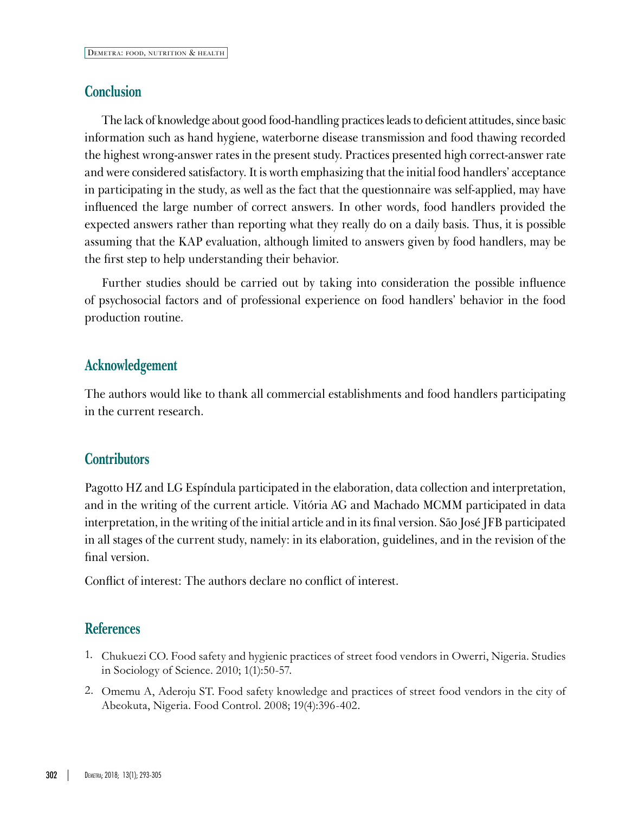## **Conclusion**

The lack of knowledge about good food-handling practices leads to deficient attitudes, since basic information such as hand hygiene, waterborne disease transmission and food thawing recorded the highest wrong-answer rates in the present study. Practices presented high correct-answer rate and were considered satisfactory. It is worth emphasizing that the initial food handlers' acceptance in participating in the study, as well as the fact that the questionnaire was self-applied, may have influenced the large number of correct answers. In other words, food handlers provided the expected answers rather than reporting what they really do on a daily basis. Thus, it is possible assuming that the KAP evaluation, although limited to answers given by food handlers, may be the first step to help understanding their behavior.

Further studies should be carried out by taking into consideration the possible influence of psychosocial factors and of professional experience on food handlers' behavior in the food production routine.

# **Acknowledgement**

The authors would like to thank all commercial establishments and food handlers participating in the current research.

# **Contributors**

Pagotto HZ and LG Espíndula participated in the elaboration, data collection and interpretation, and in the writing of the current article. Vitória AG and Machado MCMM participated in data interpretation, in the writing of the initial article and in its final version. São José JFB participated in all stages of the current study, namely: in its elaboration, guidelines, and in the revision of the final version.

Conflict of interest: The authors declare no conflict of interest.

# **References**

- 1. Chukuezi CO. Food safety and hygienic practices of street food vendors in Owerri, Nigeria. Studies in Sociology of Science. 2010; 1(1):50-57.
- 2. Omemu A, Aderoju ST. Food safety knowledge and practices of street food vendors in the city of Abeokuta, Nigeria. Food Control. 2008; 19(4):396-402.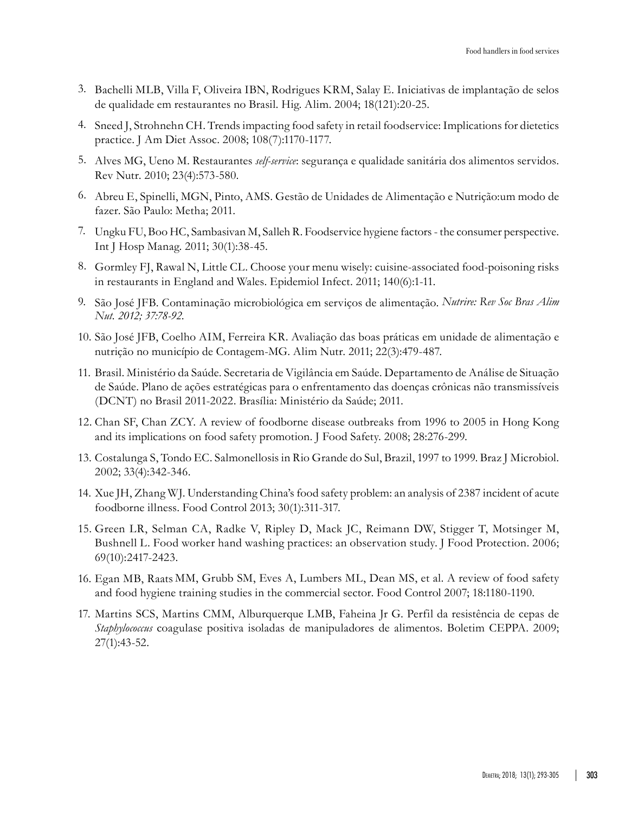- 3. Bachelli MLB, Villa F, Oliveira IBN, Rodrigues KRM, Salay E. Iniciativas de implantação de selos de qualidade em restaurantes no Brasil. Hig. Alim. 2004; 18(121):20-25.
- 4. Sneed J, Strohnehn CH. Trends impacting food safety in retail foodservice: Implications for dietetics practice. J Am Diet Assoc. 2008; 108(7):1170-1177.
- 5. Alves MG, Ueno M. Restaurantes *self-service*: segurança e qualidade sanitária dos alimentos servidos. Rev Nutr. 2010; 23(4):573-580.
- 6. Abreu E, Spinelli, MGN, Pinto, AMS. Gestão de Unidades de Alimentação e Nutrição:um modo de fazer. São Paulo: Metha; 2011.
- 7. Ungku FU, Boo HC, Sambasivan M, Salleh R. Foodservice hygiene factors the consumer perspective. Int J Hosp Manag. 2011; 30(1):38-45.
- 8. Gormley FJ, Rawal N, Little CL. Choose your menu wisely: cuisine-associated food-poisoning risks in restaurants in England and Wales. Epidemiol Infect. 2011; 140(6):1-11.
- 9. São José JFB. Contaminação microbiológica em serviços de alimentação. *Nutrire: Rev Soc Bras Alim Nut. 2012; 37:78-92*.
- 10. São José JFB, Coelho AIM, Ferreira KR. Avaliação das boas práticas em unidade de alimentação e nutrição no município de Contagem-MG. Alim Nutr. 2011; 22(3):479-487.
- 11. Brasil. Ministério da Saúde. Secretaria de Vigilância em Saúde. Departamento de Análise de Situação de Saúde. Plano de ações estratégicas para o enfrentamento das doenças crônicas não transmissíveis (DCNT) no Brasil 2011-2022. Brasília: Ministério da Saúde; 2011.
- 12. Chan SF, Chan ZCY. A review of foodborne disease outbreaks from 1996 to 2005 in Hong Kong and its implications on food safety promotion. J Food Safety. 2008; 28:276-299.
- 13. Costalunga S, Tondo EC. Salmonellosis in Rio Grande do Sul, Brazil, 1997 to 1999. Braz J Microbiol. 2002; 33(4):342-346.
- 14. Xue JH, Zhang WJ. Understanding China's food safety problem: an analysis of 2387 incident of acute foodborne illness. Food Control 2013; 30(1):311-317.
- 15. Green LR, Selman CA, Radke V, Ripley D, Mack JC, Reimann DW, Stigger T, Motsinger M, Bushnell L. Food worker hand washing practices: an observation study. J Food Protection. 2006; 69(10):2417-2423.
- 16. Egan MB, Raats MM, [Grubb](http://www.sciencedirect.com/science/article/pii/S0956713506002088) SM, [Eves](http://www.sciencedirect.com/science/article/pii/S0956713506002088) A, Lumbers ML, Dean [MS](http://www.sciencedirect.com/science/article/pii/S0956713506002088), et al. A review of food safety and food hygiene training studies in the commercial sector. Food Control 2007; 18:1180-1190.
- 17. Martins SCS, Martins CMM, Alburquerque LMB, Faheina Jr G. Perfil da resistência de cepas de *Staphylococcus* coagulase positiva isoladas de manipuladores de alimentos. Boletim CEPPA. 2009; 27(1):43-52.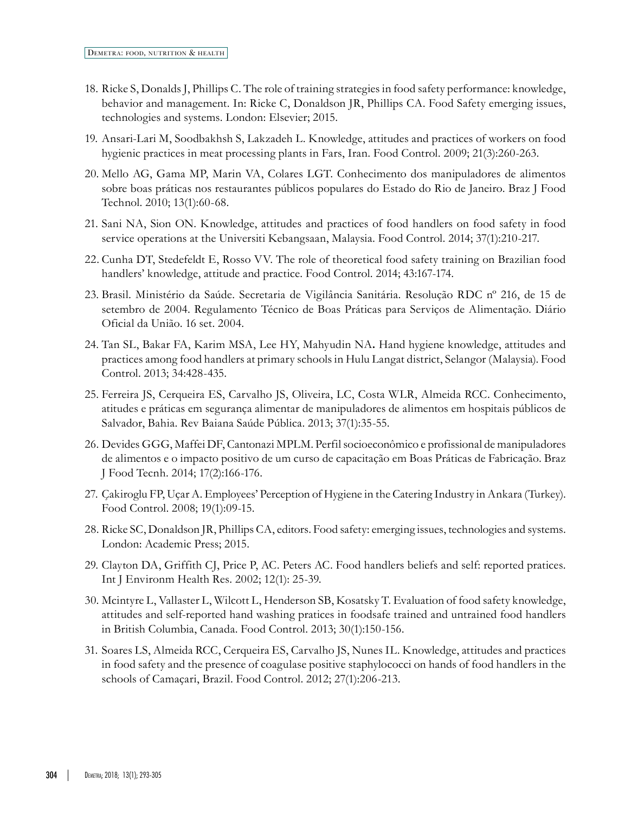- 18. Ricke S, Donalds J, Phillips C. The role of training strategies in food safety performance: knowledge, behavior and management. In: Ricke C, Donaldson JR, Phillips CA. Food Safety emerging issues, technologies and systems. London: Elsevier; 2015.
- 19. Ansari-Lari M, Soodbakhsh S, Lakzadeh L. Knowledge, attitudes and practices of workers on food hygienic practices in meat processing plants in Fars, Iran. Food Control. 2009; 21(3):260-263.
- 20. Mello AG, Gama MP, Marin VA, Colares LGT. Conhecimento dos manipuladores de alimentos sobre boas práticas nos restaurantes públicos populares do Estado do Rio de Janeiro. Braz J Food Technol. 2010; 13(1):60-68.
- 21. Sani NA, Sion ON. Knowledge, attitudes and practices of food handlers on food safety in food service operations at the Universiti Kebangsaan, Malaysia. Food Control. 2014; [37](http://www.sciencedirect.com/science/journal/09567135/37/supp/C)(1):210-217.
- 22. Cunha DT, Stedefeldt E, Rosso VV. The role of theoretical food safety training on Brazilian food handlers' knowledge, attitude and practice. Food Control. 2014; 43:167-174.
- 23. Brasil. Ministério da Saúde. Secretaria de Vigilância Sanitária. Resolução RDC nº 216, de 15 de setembro de 2004. Regulamento Técnico de Boas Práticas para Serviços de Alimentação. Diário Oficial da União. 16 set. 2004.
- 24. Tan SL, Bakar FA, Karim MSA, Lee HY, Mahyudin NA**.** Hand hygiene knowledge, attitudes and practices among food handlers at primary schools in Hulu Langat district, Selangor (Malaysia). Food Control. 2013; 34:428-435.
- 25. Ferreira JS, Cerqueira ES, Carvalho JS, Oliveira, LC, Costa WLR, Almeida RCC. Conhecimento, atitudes e práticas em segurança alimentar de manipuladores de alimentos em hospitais públicos de Salvador, Bahia. Rev Baiana Saúde Pública. 2013; 37(1):35-55.
- 26. Devides GGG, Maffei DF, Cantonazi MPLM. Perfil socioeconômico e profissional de manipuladores de alimentos e o impacto positivo de um curso de capacitação em Boas Práticas de Fabricação. Braz J Food Tecnh. 2014; 17(2):166-176.
- 27. Çakiroglu FP, Uçar A. Employees' Perception of Hygiene in the Catering Industry in Ankara (Turkey). Food Control. 2008; 19(1):09-15.
- 28. Ricke SC, Donaldson JR, Phillips CA, editors. Food safety: emerging issues, technologies and systems. London: Academic Press; 2015.
- 29. Clayton DA, Griffith CJ, Price P, AC. Peters AC. Food handlers beliefs and self: reported pratices. Int J Environm Health Res. 2002; 12(1): 25-39.
- 30. Mcintyre L, Vallaster L, Wilcott L, Henderson SB, Kosatsky T. Evaluation of food safety knowledge, attitudes and self-reported hand washing pratices in foodsafe trained and untrained food handlers in British Columbia, Canada. Food Control. 2013; 30(1):150-156.
- 31. Soares LS, Almeida RCC, Cerqueira ES, Carvalho JS, Nunes IL. Knowledge, attitudes and practices in food safety and the presence of coagulase positive staphylococci on hands of food handlers in the schools of Camaçari, Brazil. Food Control. 2012; 27(1):206-213.